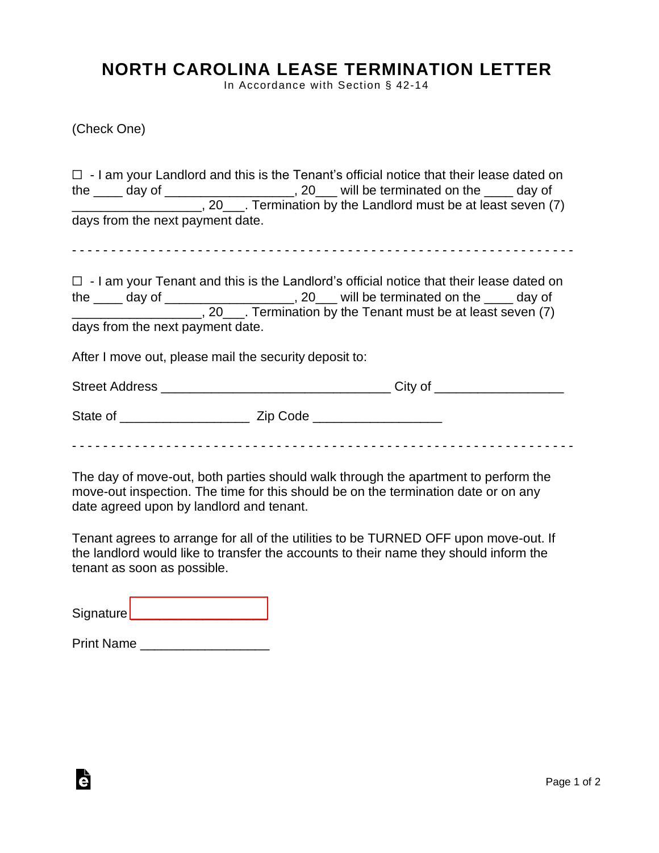## **NORTH CAROLINA LEASE TERMINATION LETTER**

In Accordance with Section § 42-14

(Check One)

|                                  |                                                        | $\Box$ - I am your Landlord and this is the Tenant's official notice that their lease dated on<br>the ____ day of ____________________, 20___ will be terminated on the ____ day of<br>_______________________, 20____. Termination by the Landlord must be at least seven (7) |
|----------------------------------|--------------------------------------------------------|--------------------------------------------------------------------------------------------------------------------------------------------------------------------------------------------------------------------------------------------------------------------------------|
| days from the next payment date. |                                                        |                                                                                                                                                                                                                                                                                |
|                                  |                                                        |                                                                                                                                                                                                                                                                                |
| days from the next payment date. |                                                        | $\Box$ - I am your Tenant and this is the Landlord's official notice that their lease dated on<br>the ____ day of _____________________, 20___ will be terminated on the ____ day of<br>________________________, 20____. Termination by the Tenant must be at least seven (7) |
|                                  | After I move out, please mail the security deposit to: |                                                                                                                                                                                                                                                                                |
|                                  |                                                        |                                                                                                                                                                                                                                                                                |
|                                  |                                                        |                                                                                                                                                                                                                                                                                |
|                                  |                                                        |                                                                                                                                                                                                                                                                                |

The day of move-out, both parties should walk through the apartment to perform the move-out inspection. The time for this should be on the termination date or on any date agreed upon by landlord and tenant.

Tenant agrees to arrange for all of the utilities to be TURNED OFF upon move-out. If the landlord would like to transfer the accounts to their name they should inform the tenant as soon as possible.

Signature [\\_\\_\\_\\_\\_\\_\\_\\_\\_\\_\\_\\_\\_\\_\\_\\_\\_\\_\\_](https://esign.com)\_\_\_\_\_\_

| <b>Print Name</b> |  |
|-------------------|--|
|-------------------|--|

Ġ